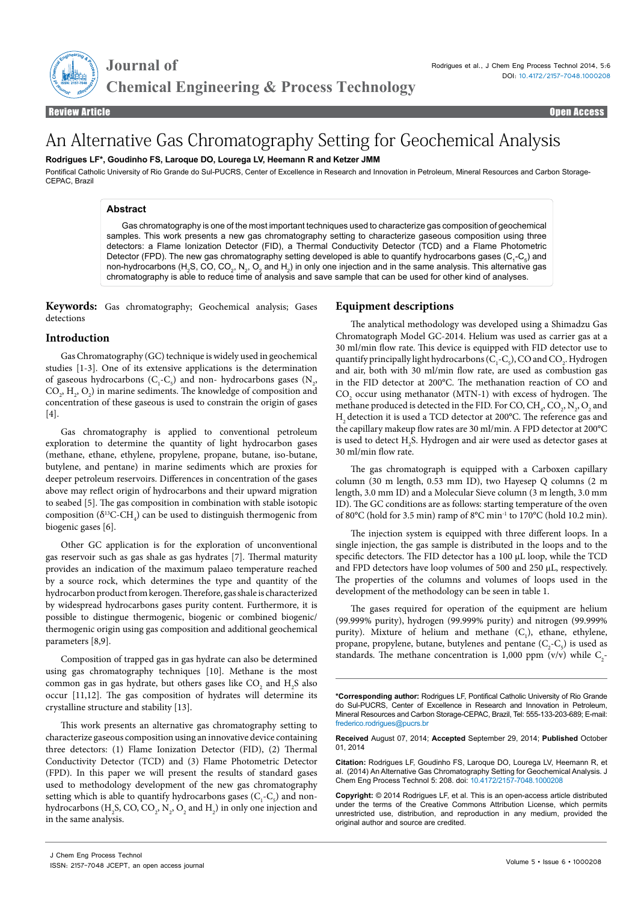

# An Alternative Gas Chromatography Setting for Geochemical Analysis

## **Rodrigues LF\*, Goudinho FS, Laroque DO, Lourega LV, Heemann R and Ketzer JMM**

Pontifical Catholic University of Rio Grande do Sul-PUCRS, Center of Excellence in Research and Innovation in Petroleum, Mineral Resources and Carbon Storage-CEPAC, Brazil

### **Abstract**

Gas chromatography is one of the most important techniques used to characterize gas composition of geochemical samples. This work presents a new gas chromatography setting to characterize gaseous composition using three detectors: a Flame Ionization Detector (FID), a Thermal Conductivity Detector (TCD) and a Flame Photometric Detector (FPD). The new gas chromatography setting developed is able to quantify hydrocarbons gases (C<sub>1</sub>-C<sub>5</sub>) and non-hydrocarbons (H<sub>2</sub>S, CO, CO<sub>2</sub>, N<sub>2</sub>, O<sub>2</sub> and H<sub>2</sub>) in only one injection and in the same analysis. This alternative gas chromatography is able to reduce time of analysis and save sample that can be used for other kind of analyses.

**Keywords:** Gas chromatography; Geochemical analysis; Gases detections

#### **Introduction**

Gas Chromatography (GC) technique is widely used in geochemical studies [1-3]. One of its extensive applications is the determination of gaseous hydrocarbons  $(C_1-C_5)$  and non- hydrocarbons gases  $(N_2,$  $CO_2$ ,  $H_2$ ,  $O_2$ ) in marine sediments. The knowledge of composition and concentration of these gaseous is used to constrain the origin of gases [4].

Gas chromatography is applied to conventional petroleum exploration to determine the quantity of light hydrocarbon gases (methane, ethane, ethylene, propylene, propane, butane, iso-butane, butylene, and pentane) in marine sediments which are proxies for deeper petroleum reservoirs. Differences in concentration of the gases above may reflect origin of hydrocarbons and their upward migration to seabed [5]. The gas composition in combination with stable isotopic composition ( $\delta^{13}$ C-CH<sub>4</sub>) can be used to distinguish thermogenic from biogenic gases [6].

Other GC application is for the exploration of unconventional gas reservoir such as gas shale as gas hydrates [7]. Thermal maturity provides an indication of the maximum palaeo temperature reached by a source rock, which determines the type and quantity of the hydrocarbon product from kerogen. Therefore, gas shale is characterized by widespread hydrocarbons gases purity content. Furthermore, it is possible to distingue thermogenic, biogenic or combined biogenic/ thermogenic origin using gas composition and additional geochemical parameters [8,9].

Composition of trapped gas in gas hydrate can also be determined using gas chromatography techniques [10]. Methane is the most common gas in gas hydrate, but others gases like  $\rm CO_2$  and  $\rm H_2S$  also occur [11,12]. The gas composition of hydrates will determine its crystalline structure and stability [13].

This work presents an alternative gas chromatography setting to characterize gaseous composition using an innovative device containing three detectors: (1) Flame Ionization Detector (FID), (2) Thermal Conductivity Detector (TCD) and (3) Flame Photometric Detector (FPD). In this paper we will present the results of standard gases used to methodology development of the new gas chromatography setting which is able to quantify hydrocarbons gases  $(C_i-C_\varsigma)$  and nonhydrocarbons (H<sub>2</sub>S, CO, CO<sub>2</sub>, N<sub>2</sub>, O<sub>2</sub> and H<sub>2</sub>) in only one injection and in the same analysis.

#### **Equipment descriptions**

The analytical methodology was developed using a Shimadzu Gas Chromatograph Model GC-2014. Helium was used as carrier gas at a 30 ml/min flow rate. This device is equipped with FID detector use to quantify principally light hydrocarbons  $(C_1$ - $C_5$ ), CO and CO<sub>2</sub>. Hydrogen and air, both with 30 ml/min flow rate, are used as combustion gas in the FID detector at 200°C. The methanation reaction of CO and CO<sub>2</sub> occur using methanator (MTN-1) with excess of hydrogen. The methane produced is detected in the FID. For CO,  $\text{CH}_4$ ,  $\text{CO}_2$ ,  $\text{N}_2$ ,  $\text{O}_2$  and H<sub>2</sub> detection it is used a TCD detector at 200°C. The reference gas and the capillary makeup flow rates are 30 ml/min. A FPD detector at 200°C is used to detect  $\rm H_2S$ . Hydrogen and air were used as detector gases at 30 ml/min flow rate.

The gas chromatograph is equipped with a Carboxen capillary column (30 m length, 0.53 mm ID), two Hayesep Q columns (2 m length, 3.0 mm ID) and a Molecular Sieve column (3 m length, 3.0 mm ID). The GC conditions are as follows: starting temperature of the oven of 80°C (hold for 3.5 min) ramp of 8°C min-1 to 170°C (hold 10.2 min).

The injection system is equipped with three different loops. In a single injection, the gas sample is distributed in the loops and to the specific detectors. The FID detector has a 100 µL loop, while the TCD and FPD detectors have loop volumes of 500 and 250 µL, respectively. The properties of the columns and volumes of loops used in the development of the methodology can be seen in table 1.

The gases required for operation of the equipment are helium (99.999% purity), hydrogen (99.999% purity) and nitrogen (99.999% purity). Mixture of helium and methane  $(C_1)$ , ethane, ethylene, propane, propylene, butane, butylenes and pentane  $(C_2-C_5)$  is used as standards. The methane concentration is 1,000 ppm (v/v) while  $C_2$ -

**Received** August 07, 2014; **Accepted** September 29, 2014; **Published** October 01, 2014

**Citation:** Rodrigues LF, Goudinho FS, Laroque DO, Lourega LV, Heemann R, et al. (2014) An Alternative Gas Chromatography Setting for Geochemical Analysis. J Chem Eng Process Technol 5: 208. doi: 10.4172/2157-7048.1000208

**Copyright:** © 2014 Rodrigues LF, et al. This is an open-access article distributed under the terms of the Creative Commons Attribution License, which permits unrestricted use, distribution, and reproduction in any medium, provided the original author and source are credited.

**<sup>\*</sup>Corresponding author:** Rodrigues LF, Pontifical Catholic University of Rio Grande do Sul-PUCRS, Center of Excellence in Research and Innovation in Petroleum, Mineral Resources and Carbon Storage-CEPAC, Brazil, Tel: 555-133-203-689; E-mail: frederico.rodrigues@pucrs.br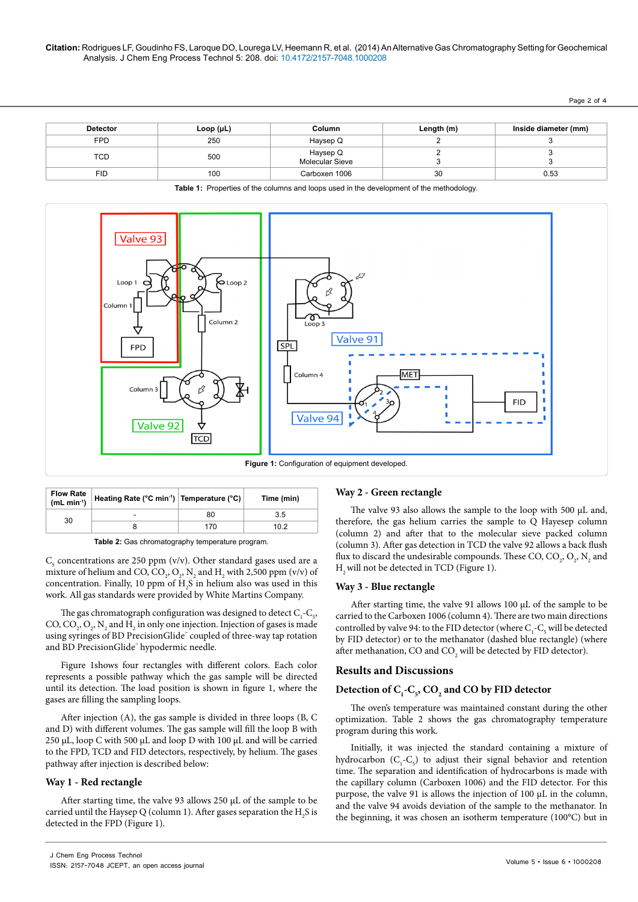**Citation:** Rodrigues LF, Goudinho FS, Laroque DO, Lourega LV, Heemann R, et al. (2014) An Alternative Gas Chromatography Setting for Geochemical Analysis. J Chem Eng Process Technol 5: 208. doi: 10.4172/2157-7048.1000208

Page 2 of 4

| <b>Detector</b> | Loop (µL) | Column                      | Length (m) | Inside diameter (mm) |
|-----------------|-----------|-----------------------------|------------|----------------------|
| <b>FPD</b>      | 250       | Haysep Q                    |            |                      |
| TCD             | 500       | Haysep Q<br>Molecular Sieve |            |                      |
| FID             | 100       | Carboxen 1006               | 30         | 0.53                 |



|  |  |  |  |  |  | Table 1: Properties of the columns and loops used in the development of the methodology. |
|--|--|--|--|--|--|------------------------------------------------------------------------------------------|
|--|--|--|--|--|--|------------------------------------------------------------------------------------------|

| Flow Rate<br>(mL min <sup>-1</sup> ) | Heating Rate (°C min <sup>-1</sup> ) Temperature (°C) |     | Time (min) |
|--------------------------------------|-------------------------------------------------------|-----|------------|
|                                      | ۰                                                     | 80  | 3.5        |
| 30                                   |                                                       | 170 | 10.2       |

**Table 2:** Gas chromatography temperature program.

 $C<sub>5</sub>$  concentrations are 250 ppm (v/v). Other standard gases used are a mixture of helium and CO,  $CO_2$ ,  $O_2$ ,  $N_2$  and  $H_2$  with 2,500 ppm (v/v) of concentration. Finally, 10 ppm of  $H_2S$  in helium also was used in this work. All gas standards were provided by White Martins Company.

The gas chromatograph configuration was designed to detect  $\mathrm{C}_\text{i}$ - $\mathrm{C}_\text{s}$ , CO, CO<sub>2</sub>, O<sub>2</sub>, N<sub>2</sub> and H<sub>2</sub> in only one injection. Injection of gases is made using syringes of BD PrecisionGlide™ coupled of three-way tap rotation and BD PrecisionGlide™ hypodermic needle.

Figure 1shows four rectangles with different colors. Each color represents a possible pathway which the gas sample will be directed until its detection. The load position is shown in figure 1, where the gases are filling the sampling loops.

After injection (A), the gas sample is divided in three loops (B, C and D) with different volumes. The gas sample will fill the loop B with 250 µL, loop C with 500 µL and loop D with 100 µL and will be carried to the FPD, TCD and FID detectors, respectively, by helium. The gases pathway after injection is described below:

### **Way 1 - Red rectangle**

After starting time, the valve 93 allows 250 µL of the sample to be carried until the Haysep Q (column 1). After gases separation the  $\rm H_2S$  is detected in the FPD (Figure 1).

#### **Way 2 - Green rectangle**

The valve 93 also allows the sample to the loop with 500 µL and, therefore, the gas helium carries the sample to Q Hayesep column (column 2) and after that to the molecular sieve packed column (column 3). After gas detection in TCD the valve 92 allows a back flush flux to discard the undesirable compounds. These CO,  $CO_2$ ,  $O_2$ ,  $N_2$  and H<sub>2</sub> will not be detected in TCD (Figure 1).

### **Way 3 - Blue rectangle**

After starting time, the valve 91 allows 100 µL of the sample to be carried to the Carboxen 1006 (column 4). There are two main directions controlled by valve 94: to the FID detector (where  $C_1$ - $C_5$  will be detected by FID detector) or to the methanator (dashed blue rectangle) (where after methanation, CO and  $\text{CO}_2$  will be detected by FID detector).

## **Results and Discussions**

# Detection of C<sub>1</sub>-C<sub>5</sub>, CO<sub>2</sub> and CO by FID detector

The oven's temperature was maintained constant during the other optimization. Table 2 shows the gas chromatography temperature program during this work.

Initially, it was injected the standard containing a mixture of hydrocarbon  $(C_1-C_5)$  to adjust their signal behavior and retention time. The separation and identification of hydrocarbons is made with the capillary column (Carboxen 1006) and the FID detector. For this purpose, the valve 91 is allows the injection of 100 µL in the column, and the valve 94 avoids deviation of the sample to the methanator. In the beginning, it was chosen an isotherm temperature (100°C) but in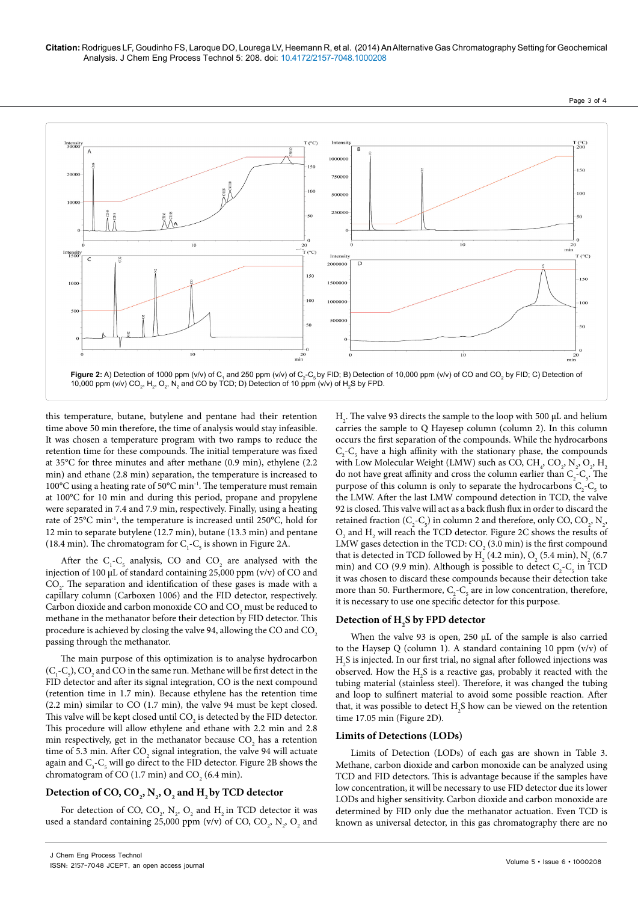**Citation:** Rodrigues LF, Goudinho FS, Laroque DO, Lourega LV, Heemann R, et al. (2014) An Alternative Gas Chromatography Setting for Geochemical Analysis. J Chem Eng Process Technol 5: 208. doi: 10.4172/2157-7048.1000208



this temperature, butane, butylene and pentane had their retention time above 50 min therefore, the time of analysis would stay infeasible. It was chosen a temperature program with two ramps to reduce the retention time for these compounds. The initial temperature was fixed at 35°C for three minutes and after methane (0.9 min), ethylene (2.2 min) and ethane (2.8 min) separation, the temperature is increased to 100°C using a heating rate of 50°C min-1. The temperature must remain at 100°C for 10 min and during this period, propane and propylene were separated in 7.4 and 7.9 min, respectively. Finally, using a heating rate of 25°C min-1, the temperature is increased until 250°C, hold for 12 min to separate butylene (12.7 min), butane (13.3 min) and pentane (18.4 min). The chromatogram for  $C_1$ - $C_5$  is shown in Figure 2A.

After the  $C_1$ - $C_5$  analysis, CO and CO<sub>2</sub> are analysed with the injection of 100 µL of standard containing 25,000 ppm (v/v) of CO and  $CO<sub>2</sub>$ . The separation and identification of these gases is made with a capillary column (Carboxen 1006) and the FID detector, respectively. Carbon dioxide and carbon monoxide CO and  $\mathrm{CO}_2$  must be reduced to methane in the methanator before their detection by FID detector. This procedure is achieved by closing the valve 94, allowing the CO and CO<sub>2</sub> passing through the methanator.

The main purpose of this optimization is to analyse hydrocarbon  $(C_1$ - $C_5$ ),  $CO_2$  and  $CO$  in the same run. Methane will be first detect in the FID detector and after its signal integration, CO is the next compound (retention time in 1.7 min). Because ethylene has the retention time (2.2 min) similar to CO (1.7 min), the valve 94 must be kept closed. This valve will be kept closed until  $\mathrm{CO}_2$  is detected by the FID detector. This procedure will allow ethylene and ethane with 2.2 min and 2.8 min respectively, get in the methanator because  $\mathrm{CO}_2$  has a retention time of 5.3 min. After  $\text{CO}_2$  signal integration, the valve 94 will actuate again and  $C_3$ - $C_5$  will go direct to the FID detector. Figure 2B shows the chromatogram of CO  $(1.7 \text{ min})$  and  $\text{CO}_2$   $(6.4 \text{ min})$ .

# Detection of CO, CO<sub>2</sub>, N<sub>2</sub>, O<sub>2</sub> and H<sub>2</sub> by TCD detector

For detection of CO,  $CO_2$ ,  $N_2$ ,  $O_2$  and  $H_2$  in TCD detector it was used a standard containing 25,000 ppm (v/v) of CO,  $CO_2$ ,  $N_2$ ,  $O_2$  and

 $H_2$ . The valve 93 directs the sample to the loop with 500  $\mu$ L and helium carries the sample to Q Hayesep column (column 2). In this column occurs the first separation of the compounds. While the hydrocarbons  $C_2$ - $C_5$  have a high affinity with the stationary phase, the compounds with Low Molecular Weight (LMW) such as CO,  $\text{CH}_4$ , CO<sub>2</sub>, N<sub>2</sub>, O<sub>2</sub>, H<sub>2</sub> do not have great affinity and cross the column earlier than  $C_2$ - $C_5$ . The purpose of this column is only to separate the hydrocarbons  $C_2$ - $C_5$  to the LMW. After the last LMW compound detection in TCD, the valve 92 is closed. This valve will act as a back flush flux in order to discard the retained fraction ( $C_2$ - $C_5$ ) in column 2 and therefore, only CO, CO<sub>2</sub>, N<sub>2</sub>,  $O_2$  and  $H_2$  will reach the TCD detector. Figure 2C shows the results of LMW gases detection in the TCD:  $\text{CO}_2$  (3.0 min) is the first compound that is detected in TCD followed by H<sub>2</sub> (4.2 min), O<sub>2</sub> (5.4 min), N<sub>2</sub> (6.7 min) and CO (9.9 min). Although is possible to detect  $C_2$ - $C_5$  in TCD it was chosen to discard these compounds because their detection take more than 50. Furthermore,  $C_2$ - $C_5$  are in low concentration, therefore, it is necessary to use one specific detector for this purpose.

# **Detection of H2 S by FPD detector**

When the valve 93 is open, 250 µL of the sample is also carried to the Haysep Q (column 1). A standard containing 10 ppm (v/v) of  $\rm H_2S$  is injected. In our first trial, no signal after followed injections was observed. How the  $H_2S$  is a reactive gas, probably it reacted with the tubing material (stainless steel). Therefore, it was changed the tubing and loop to sulfinert material to avoid some possible reaction. After that, it was possible to detect  $H_2S$  how can be viewed on the retention time 17.05 min (Figure 2D).

## **Limits of Detections (LODs)**

Limits of Detection (LODs) of each gas are shown in Table 3. Methane, carbon dioxide and carbon monoxide can be analyzed using TCD and FID detectors. This is advantage because if the samples have low concentration, it will be necessary to use FID detector due its lower LODs and higher sensitivity. Carbon dioxide and carbon monoxide are determined by FID only due the methanator actuation. Even TCD is known as universal detector, in this gas chromatography there are no